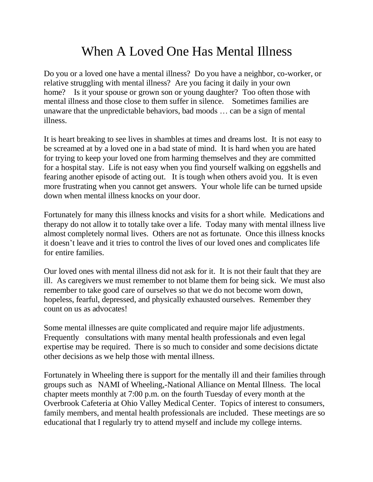## When A Loved One Has Mental Illness

Do you or a loved one have a mental illness? Do you have a neighbor, co-worker, or relative struggling with mental illness? Are you facing it daily in your own home? Is it your spouse or grown son or young daughter? Too often those with mental illness and those close to them suffer in silence. Sometimes families are unaware that the unpredictable behaviors, bad moods … can be a sign of mental illness.

It is heart breaking to see lives in shambles at times and dreams lost. It is not easy to be screamed at by a loved one in a bad state of mind. It is hard when you are hated for trying to keep your loved one from harming themselves and they are committed for a hospital stay. Life is not easy when you find yourself walking on eggshells and fearing another episode of acting out. It is tough when others avoid you. It is even more frustrating when you cannot get answers. Your whole life can be turned upside down when mental illness knocks on your door.

Fortunately for many this illness knocks and visits for a short while. Medications and therapy do not allow it to totally take over a life. Today many with mental illness live almost completely normal lives. Others are not as fortunate. Once this illness knocks it doesn't leave and it tries to control the lives of our loved ones and complicates life for entire families.

Our loved ones with mental illness did not ask for it. It is not their fault that they are ill. As caregivers we must remember to not blame them for being sick. We must also remember to take good care of ourselves so that we do not become worn down, hopeless, fearful, depressed, and physically exhausted ourselves. Remember they count on us as advocates!

Some mental illnesses are quite complicated and require major life adjustments. Frequently consultations with many mental health professionals and even legal expertise may be required. There is so much to consider and some decisions dictate other decisions as we help those with mental illness.

Fortunately in Wheeling there is support for the mentally ill and their families through groups such as NAMI of Wheeling,-National Alliance on Mental Illness. The local chapter meets monthly at 7:00 p.m. on the fourth Tuesday of every month at the Overbrook Cafeteria at Ohio Valley Medical Center. Topics of interest to consumers, family members, and mental health professionals are included. These meetings are so educational that I regularly try to attend myself and include my college interns.